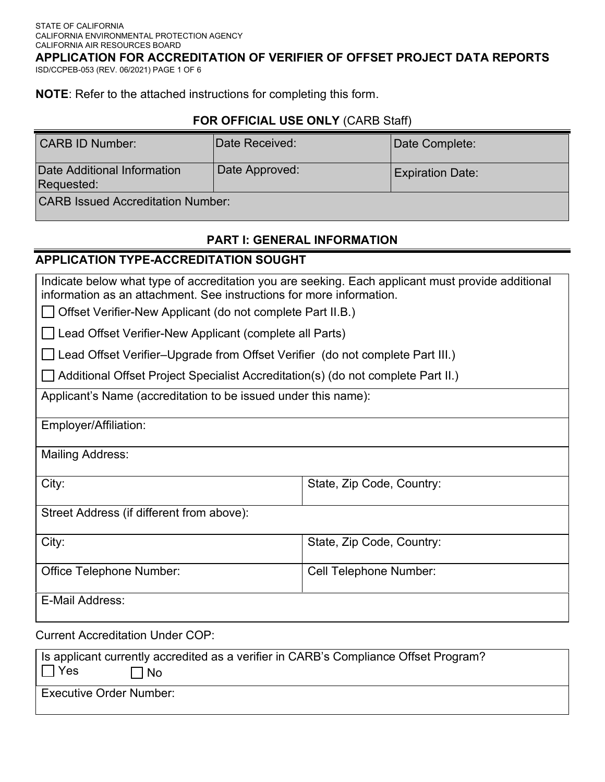**APPLICATION FOR ACCREDITATION OF VERIFIER OF OFFSET PROJECT DATA REPORTS** 

ISD/CCPEB-053 (REV. 06/2021) PAGE 1 OF 6

**NOTE**: Refer to the attached instructions for completing this form.

#### **FOR OFFICIAL USE ONLY** (CARB Staff)

| <b>CARB ID Number:</b>                    | <b>IDate Received:</b> | Date Complete:          |  |
|-------------------------------------------|------------------------|-------------------------|--|
| Date Additional Information<br>Requested: | Date Approved:         | <b>Expiration Date:</b> |  |
| <b>CARB Issued Accreditation Number:</b>  |                        |                         |  |

# **PART I: GENERAL INFORMATION**

## **APPLICATION TYPE-ACCREDITATION SOUGHT**

Indicate below what type of accreditation you are seeking. Each applicant must provide additional information as an attachment. See instructions for more information.

Offset Verifier-New Applicant (do not complete Part II.B.)

L Lead Offset Verifier-New Applicant (complete all Parts)

Lead Offset Verifier–Upgrade from Offset Verifier (do not complete Part III.)

Additional Offset Project Specialist Accreditation(s) (do not complete Part II.)

Applicant's Name (accreditation to be issued under this name):

Employer/Affiliation:

Mailing Address:

City: City: State, Zip Code, Country: State, Zip Code, Country:

Street Address (if different from above):

| City:                           | State, Zip Code, Country:     |
|---------------------------------|-------------------------------|
| <b>Office Telephone Number:</b> | <b>Cell Telephone Number:</b> |
| E-Mail Address:                 |                               |

Current Accreditation Under COP:

| Is applicant currently accredited as a verifier in CARB's Compliance Offset Program? |  |  |
|--------------------------------------------------------------------------------------|--|--|
| ⊣ ∃Yes<br>l No                                                                       |  |  |
| <b>Executive Order Number:</b>                                                       |  |  |
|                                                                                      |  |  |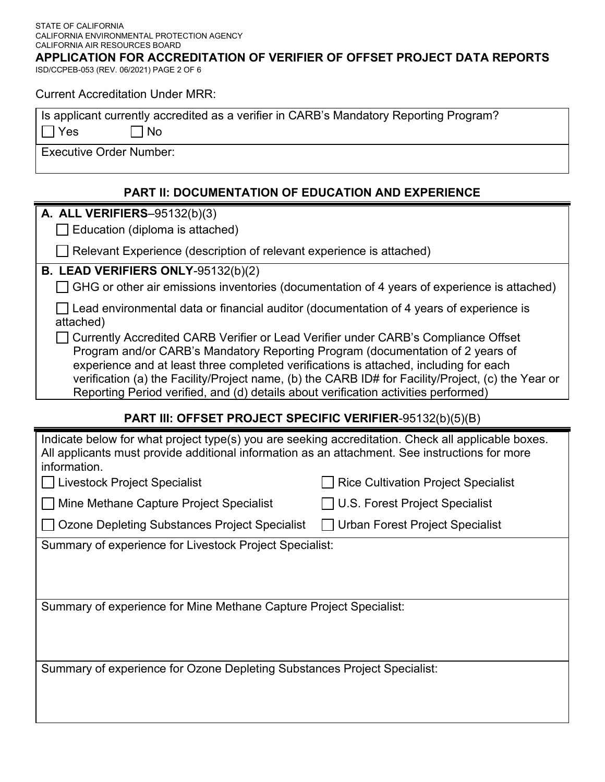ISD/CCPEB-053 (REV. 06/2021) PAGE 2 OF 6 **APPLICATION FOR ACCREDITATION OF VERIFIER OF OFFSET PROJECT DATA REPORTS** 

Current Accreditation Under MRR:

|            | Is applicant currently accredited as a verifier in CARB's Mandatory Reporting Program? |
|------------|----------------------------------------------------------------------------------------|
| $\Box$ Yes | $\Box$ No                                                                              |

Executive Order Number:

#### **PART II: DOCUMENTATION OF EDUCATION AND EXPERIENCE**

**A. ALL VERIFIERS**–95132(b)(3)

 $\Box$  Education (diploma is attached)

Relevant Experience (description of relevant experience is attached)

#### **B. LEAD VERIFIERS ONLY**-95132(b)(2)

 $\Box$  GHG or other air emissions inventories (documentation of 4 years of experience is attached)

 $\Box$  Lead environmental data or financial auditor (documentation of 4 years of experience is attached)

□ Currently Accredited CARB Verifier or Lead Verifier under CARB's Compliance Offset Program and/or CARB's Mandatory Reporting Program (documentation of 2 years of experience and at least three completed verifications is attached, including for each verification (a) the Facility/Project name, (b) the CARB ID# for Facility/Project, (c) the Year or Reporting Period verified, and (d) details about verification activities performed)

## **PART III: OFFSET PROJECT SPECIFIC VERIFIER**-95132(b)(5)(B)

| Indicate below for what project type(s) you are seeking accreditation. Check all applicable boxes. |  |
|----------------------------------------------------------------------------------------------------|--|
| All applicants must provide additional information as an attachment. See instructions for more     |  |
| information.                                                                                       |  |
|                                                                                                    |  |

■ Mine Methane Capture Project Specialist III U.S. Forest Project Specialist

■ Livestock Project Specialist Rice Cultivation Project Specialist

□ Ozone Depleting Substances Project Specialist □ Urban Forest Project Specialist

Summary of experience for Livestock Project Specialist:

Summary of experience for Mine Methane Capture Project Specialist:

Summary of experience for Ozone Depleting Substances Project Specialist: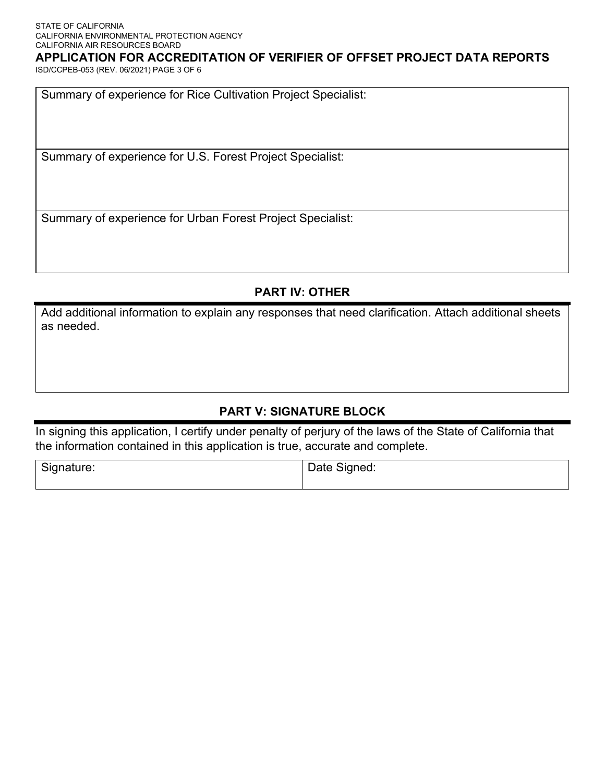### **APPLICATION FOR ACCREDITATION OF VERIFIER OF OFFSET PROJECT DATA REPORTS**

ISD/CCPEB-053 (REV. 06/2021) PAGE 3 OF 6

Summary of experience for Rice Cultivation Project Specialist:

Summary of experience for U.S. Forest Project Specialist:

Summary of experience for Urban Forest Project Specialist:

# **PART IV: OTHER**

Add additional information to explain any responses that need clarification. Attach additional sheets as needed.

# **PART V: SIGNATURE BLOCK**

In signing this application, I certify under penalty of perjury of the laws of the State of California that the information contained in this application is true, accurate and complete.

| Signature: | Date Signed: |
|------------|--------------|
|            |              |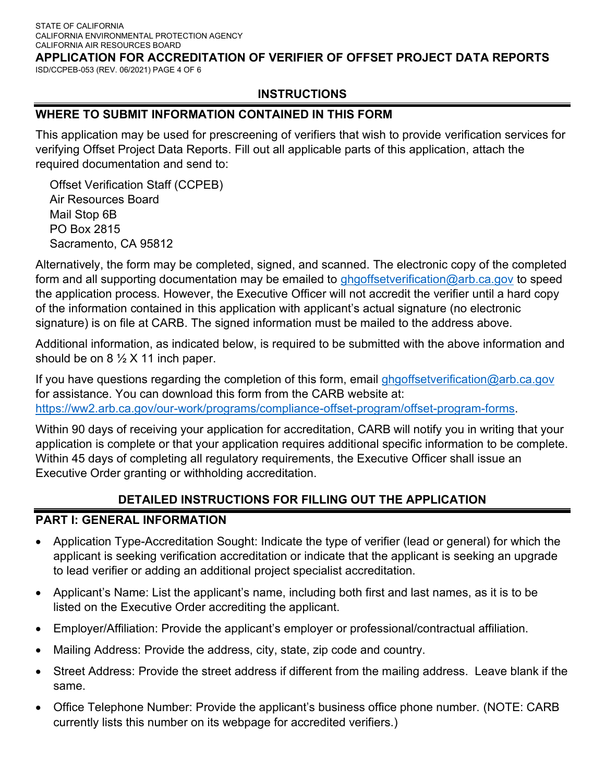# **APPLICATION FOR ACCREDITATION OF VERIFIER OF OFFSET PROJECT DATA REPORTS**

ISD/CCPEB-053 (REV. 06/2021) PAGE 4 OF 6

#### **INSTRUCTIONS**

#### **WHERE TO SUBMIT INFORMATION CONTAINED IN THIS FORM**

This application may be used for prescreening of verifiers that wish to provide verification services for verifying Offset Project Data Reports. Fill out all applicable parts of this application, attach the required documentation and send to:

Offset Verification Staff (CCPEB) Air Resources Board Mail Stop 6B PO Box 2815 Sacramento, CA 95812

Alternatively, the form may be completed, signed, and scanned. The electronic copy of the completed form and all supporting documentation may be emailed to [ghgoffsetverification@arb.ca.gov](mailto:ghgoffsetverification@arb.ca.gov) to speed the application process. However, the Executive Officer will not accredit the verifier until a hard copy of the information contained in this application with applicant's actual signature (no electronic signature) is on file at CARB. The signed information must be mailed to the address above.

Additional information, as indicated below, is required to be submitted with the above information and should be on  $8\frac{1}{2}$  X 11 inch paper.

If you have questions regarding the completion of this form, email ghgoffsetverification@arb.ca.gov for assistance. You can download this form from the CARB website at: [https://ww2.arb.ca.gov/our-work/programs/compliance-offset-program/offset-program-forms.](https://ww2.arb.ca.gov/our-work/programs/compliance-offset-program/offset-program-forms)

Within 90 days of receiving your application for accreditation, CARB will notify you in writing that your application is complete or that your application requires additional specific information to be complete. Within 45 days of completing all regulatory requirements, the Executive Officer shall issue an Executive Order granting or withholding accreditation.

#### **DETAILED INSTRUCTIONS FOR FILLING OUT THE APPLICATION**

#### **PART I: GENERAL INFORMATION**

- Application Type-Accreditation Sought: Indicate the type of verifier (lead or general) for which the applicant is seeking verification accreditation or indicate that the applicant is seeking an upgrade to lead verifier or adding an additional project specialist accreditation.
- Applicant's Name: List the applicant's name, including both first and last names, as it is to be listed on the Executive Order accrediting the applicant.
- Employer/Affiliation: Provide the applicant's employer or professional/contractual affiliation.
- Mailing Address: Provide the address, city, state, zip code and country.
- Street Address: Provide the street address if different from the mailing address. Leave blank if the same.
- Office Telephone Number: Provide the applicant's business office phone number. (NOTE: CARB currently lists this number on its webpage for accredited verifiers.)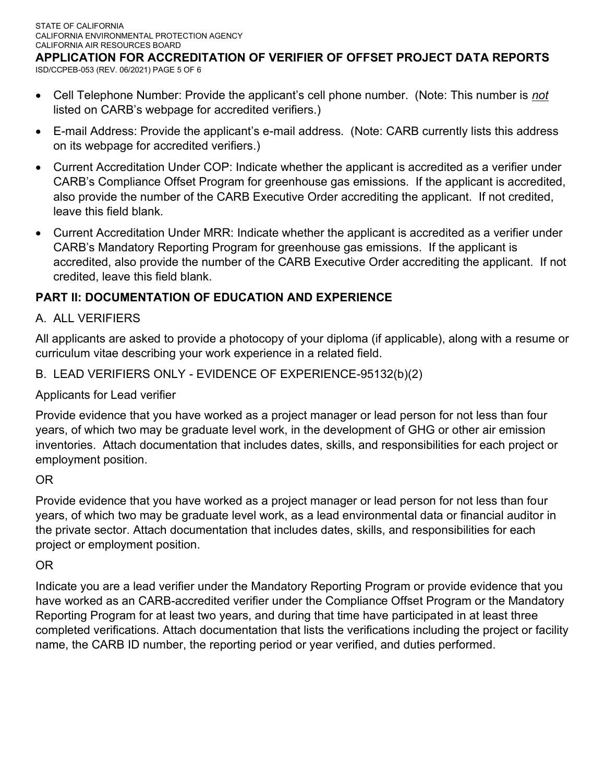ISD/CCPEB-053 (REV. 06/2021) PAGE 5 OF 6 **APPLICATION FOR ACCREDITATION OF VERIFIER OF OFFSET PROJECT DATA REPORTS** 

- Cell Telephone Number: Provide the applicant's cell phone number. (Note: This number is *not* listed on CARB's webpage for accredited verifiers.)
- E-mail Address: Provide the applicant's e-mail address. (Note: CARB currently lists this address on its webpage for accredited verifiers.)
- Current Accreditation Under COP: Indicate whether the applicant is accredited as a verifier under CARB's Compliance Offset Program for greenhouse gas emissions. If the applicant is accredited, also provide the number of the CARB Executive Order accrediting the applicant. If not credited, leave this field blank.
- Current Accreditation Under MRR: Indicate whether the applicant is accredited as a verifier under CARB's Mandatory Reporting Program for greenhouse gas emissions. If the applicant is accredited, also provide the number of the CARB Executive Order accrediting the applicant. If not credited, leave this field blank.

# **PART II: DOCUMENTATION OF EDUCATION AND EXPERIENCE**

# A. ALL VERIFIERS

All applicants are asked to provide a photocopy of your diploma (if applicable), along with a resume or curriculum vitae describing your work experience in a related field.

# B. LEAD VERIFIERS ONLY - EVIDENCE OF EXPERIENCE-95132(b)(2)

Applicants for Lead verifier

Provide evidence that you have worked as a project manager or lead person for not less than four years, of which two may be graduate level work, in the development of GHG or other air emission inventories. Attach documentation that includes dates, skills, and responsibilities for each project or employment position.

## OR

Provide evidence that you have worked as a project manager or lead person for not less than four years, of which two may be graduate level work, as a lead environmental data or financial auditor in the private sector. Attach documentation that includes dates, skills, and responsibilities for each project or employment position.

# OR

Indicate you are a lead verifier under the Mandatory Reporting Program or provide evidence that you have worked as an CARB-accredited verifier under the Compliance Offset Program or the Mandatory Reporting Program for at least two years, and during that time have participated in at least three completed verifications. Attach documentation that lists the verifications including the project or facility name, the CARB ID number, the reporting period or year verified, and duties performed.